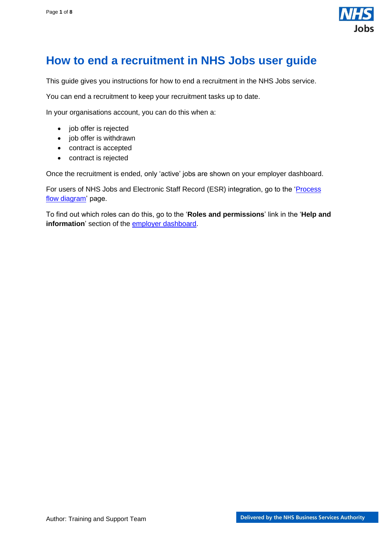

# <span id="page-0-0"></span>**How to end a recruitment in NHS Jobs user guide**

This guide gives you instructions for how to end a recruitment in the NHS Jobs service.

You can end a recruitment to keep your recruitment tasks up to date.

In your organisations account, you can do this when a:

- job offer is rejected
- job offer is withdrawn
- contract is accepted
- contract is rejected

Once the recruitment is ended, only 'active' jobs are shown on your employer dashboard.

For users of NHS Jobs and Electronic Staff Record (ESR) integration, go to the ['Process](#page-2-0)  [flow diagram'](#page-2-0) page.

To find out which roles can do this, go to the '**Roles and permissions**' link in the '**Help and information**' section of the [employer dashboard.](https://beta.jobs.nhs.uk/home)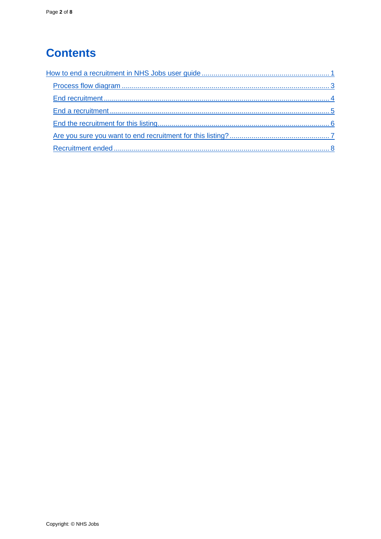# **Contents**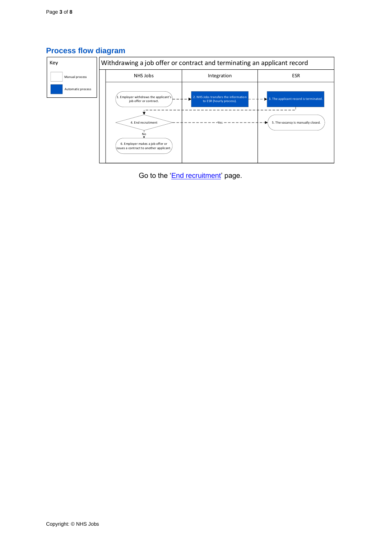| Key               | Withdrawing a job offer or contract and terminating an applicant record                                                                                                     |                                                                          |                                                                                                    |  |  |
|-------------------|-----------------------------------------------------------------------------------------------------------------------------------------------------------------------------|--------------------------------------------------------------------------|----------------------------------------------------------------------------------------------------|--|--|
| Manual process    | NHS Jobs                                                                                                                                                                    | Integration                                                              | <b>ESR</b>                                                                                         |  |  |
| Automatic process | 1. Employer withdraws the applicant's<br>job offer or contract.<br>4. End recruitment<br>No<br>6. Employer makes a job offer or<br>issues a contract to another applicant., | 2. NHS Jobs transfers the information<br>to ESR (hourly process).<br>Yes | $\blacktriangleright$ 3. The applicant record is terminated.<br>5. The vacancy is manually closed. |  |  |

## <span id="page-2-0"></span>**Process flow diagram**

Go to the ['End recruitment'](#page-3-0) page.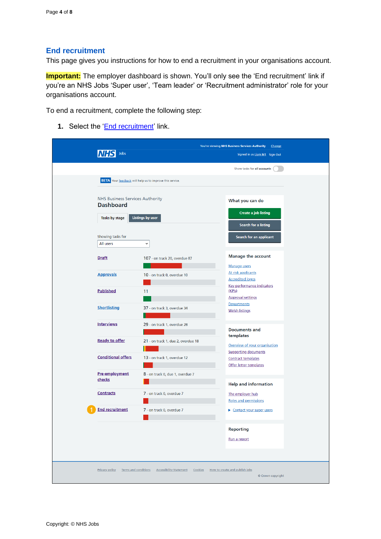#### <span id="page-3-0"></span>**End recruitment**

This page gives you instructions for how to end a recruitment in your organisations account.

**Important:** The employer dashboard is shown. You'll only see the 'End recruitment' link if you're an NHS Jobs 'Super user', 'Team leader' or 'Recruitment administrator' role for your organisations account.

To end a recruitment, complete the following step:

1. Select the ['End recruitment'](#page-4-0) link.

| Jobs                                                                         | You're viewing NHS Business Services Authority<br>Change<br>Signed in as Liam M1 Sign Out |                                                                             |
|------------------------------------------------------------------------------|-------------------------------------------------------------------------------------------|-----------------------------------------------------------------------------|
|                                                                              |                                                                                           | Show tasks for all accounts                                                 |
| <b>BETA</b> Your feedback will help us to improve this service.              |                                                                                           |                                                                             |
| <b>NHS Business Services Authority</b><br><b>Dashboard</b><br>Tasks by stage | <b>Listings by user</b>                                                                   | What you can do<br><b>Create a job listing</b><br>Search for a listing      |
| Showing tasks for<br>All users                                               | $\check{ }$                                                                               | Search for an applicant                                                     |
| <b>Draft</b>                                                                 | 107 - on track 20, overdue 87                                                             | <b>Manage the account</b><br><b>Manage users</b>                            |
| <b>Approvals</b>                                                             | 10 - on track 0, overdue 10                                                               | At risk applicants<br><b>Accredited logos</b><br>Key performance indicators |
| <b>Published</b>                                                             | 11                                                                                        | (KPIs)<br><b>Approval settings</b><br>Departments                           |
| <b>Shortlisting</b>                                                          | 37 - on track 3, overdue 34                                                               | <b>Welsh listings</b>                                                       |
| <b>Interviews</b>                                                            | 29 - on track 1, overdue 28                                                               | <b>Documents and</b><br>templates                                           |
| <b>Ready to offer</b>                                                        | 21 - on track 1, due 2, overdue 18                                                        | Overview of your organisation<br><b>Supporting documents</b>                |
| <b>Conditional offers</b>                                                    | 13 - on track 1, overdue 12                                                               | <b>Contract templates</b><br>Offer letter templates                         |
| Pre-employment<br>checks                                                     | 8 - on track 0, due 1, overdue 7                                                          | <b>Help and information</b>                                                 |
| Contracts                                                                    | 7 - on track 0, overdue 7                                                                 | The employer hub<br><b>Roles and permissions</b>                            |
| <b>End recruitment</b>                                                       | 7 - on track 0, overdue 7                                                                 | Contact your super users                                                    |
|                                                                              |                                                                                           | <b>Reporting</b><br>Run a report                                            |
| Terms and conditions<br><b>Privacy policy</b>                                | <b>Accessibility Statement</b><br>Cookies                                                 | How to create and publish jobs<br>© Crown copyright                         |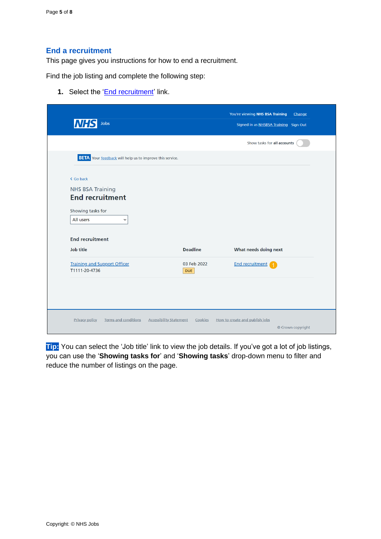#### <span id="page-4-0"></span>**End a recruitment**

This page gives you instructions for how to end a recruitment.

Find the job listing and complete the following step:

**1.** Select the '*End recruitment'* link.

| <b>NHS</b><br>Jobs                                                                                                                        |                           | You're viewing NHS BSA Training<br>Change<br>Signed in as NHSBSA Training Sign Out |  |
|-------------------------------------------------------------------------------------------------------------------------------------------|---------------------------|------------------------------------------------------------------------------------|--|
|                                                                                                                                           |                           | Show tasks for all accounts                                                        |  |
| <b>BETA</b> Your feedback will help us to improve this service.                                                                           |                           |                                                                                    |  |
| < Go back<br><b>NHS BSA Training</b><br><b>End recruitment</b><br>Showing tasks for<br>All users<br>$\check{~}$<br><b>End recruitment</b> | <b>Deadline</b>           | What needs doing next                                                              |  |
| <b>Job title</b>                                                                                                                          |                           |                                                                                    |  |
| <b>Training and Support Officer</b><br>T1111-20-4736                                                                                      | 03 Feb 2022<br><b>DUE</b> | <b>End recruitment</b>                                                             |  |

**Tip:** You can select the 'Job title' link to view the job details. If you've got a lot of job listings, you can use the '**Showing tasks for**' and '**Showing tasks**' drop-down menu to filter and reduce the number of listings on the page.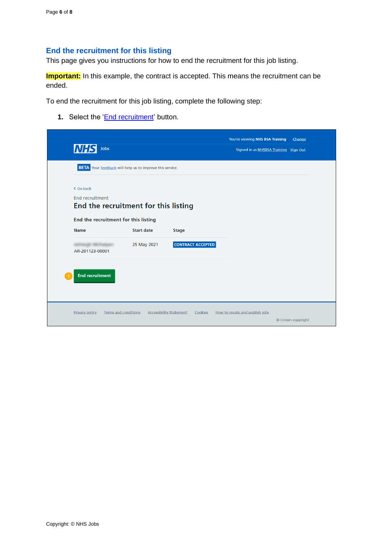### <span id="page-5-0"></span>**End the recruitment for this listing**

This page gives you instructions for how to end the recruitment for this job listing.

**Important:** In this example, the contract is accepted. This means the recruitment can be ended.

To end the recruitment for this job listing, complete the following step:

**1.** Select the '**End recruitment'** button.

| < Go back                            |                                      |                          |  |  |
|--------------------------------------|--------------------------------------|--------------------------|--|--|
| <b>End recruitment</b>               | End the recruitment for this listing |                          |  |  |
| End the recruitment for this listing |                                      |                          |  |  |
| <b>Name</b>                          | <b>Start date</b>                    | <b>Stage</b>             |  |  |
| AR-201123-00001                      | 25 May 2021                          | <b>CONTRACT ACCEPTED</b> |  |  |
|                                      |                                      |                          |  |  |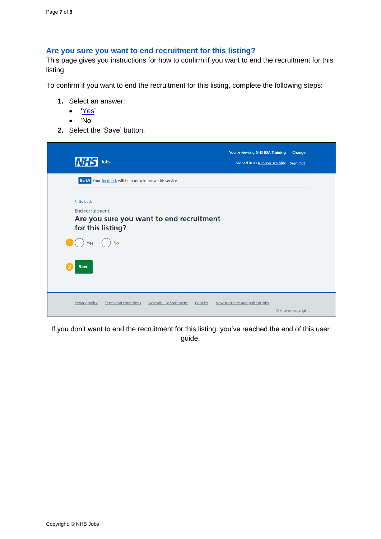#### <span id="page-6-0"></span>**Are you sure you want to end recruitment for this listing?**

This page gives you instructions for how to confirm if you want to end the recruitment for this listing.

To confirm if you want to end the recruitment for this listing, complete the following steps:

- **1.** Select an answer:
	- ['Yes'](#page-7-0)
	- 'No'
- **2.** Select the 'Save' button.

| <b>NHS</b><br>Jobs                                                                                | You're viewing NHS BSA Training<br>Signed in as NHSBSA Training Sign Out | Change            |
|---------------------------------------------------------------------------------------------------|--------------------------------------------------------------------------|-------------------|
| <b>BETA</b> Your feedback will help us to improve this service.                                   |                                                                          |                   |
| < Go back                                                                                         |                                                                          |                   |
| <b>End recruitment</b><br>Are you sure you want to end recruitment<br>for this listing?           |                                                                          |                   |
| <b>No</b><br>Yes                                                                                  |                                                                          |                   |
| <b>Save</b>                                                                                       |                                                                          |                   |
|                                                                                                   |                                                                          |                   |
| <b>Terms and conditions</b><br><b>Privacy policy</b><br><b>Accessibility Statement</b><br>Cookies | How to create and publish jobs                                           | © Crown copyright |

If you don't want to end the recruitment for this listing, you've reached the end of this user guide.